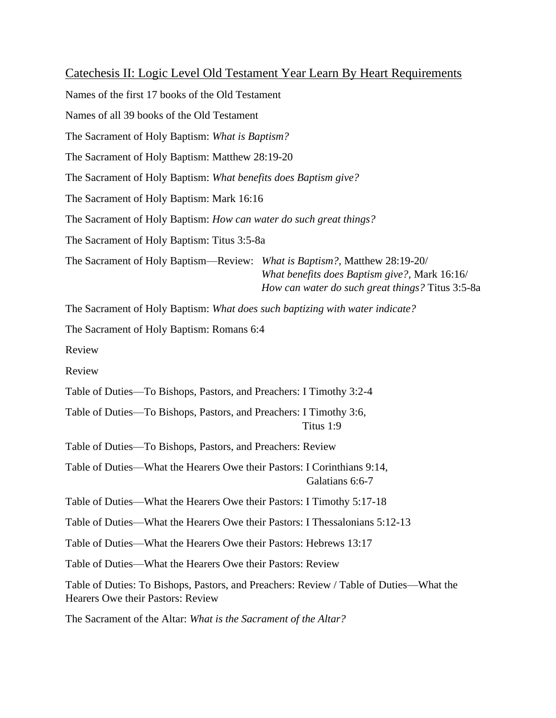Catechesis II: Logic Level Old Testament Year Learn By Heart Requirements Names of the first 17 books of the Old Testament Names of all 39 books of the Old Testament The Sacrament of Holy Baptism: *What is Baptism?* The Sacrament of Holy Baptism: Matthew 28:19-20 The Sacrament of Holy Baptism: *What benefits does Baptism give?* The Sacrament of Holy Baptism: Mark 16:16 The Sacrament of Holy Baptism: *How can water do such great things?* The Sacrament of Holy Baptism: Titus 3:5-8a The Sacrament of Holy Baptism—Review: *What is Baptism?,* Matthew 28:19-20/ *What benefits does Baptism give?,* Mark 16:16/ *How can water do such great things?* Titus 3:5-8a The Sacrament of Holy Baptism: *What does such baptizing with water indicate?* The Sacrament of Holy Baptism: Romans 6:4 Review Review Table of Duties—To Bishops, Pastors, and Preachers: I Timothy 3:2-4 Table of Duties—To Bishops, Pastors, and Preachers: I Timothy 3:6, Titus 1:9 Table of Duties—To Bishops, Pastors, and Preachers: Review Table of Duties—What the Hearers Owe their Pastors: I Corinthians 9:14, Galatians 6:6-7 Table of Duties—What the Hearers Owe their Pastors: I Timothy 5:17-18 Table of Duties—What the Hearers Owe their Pastors: I Thessalonians 5:12-13 Table of Duties—What the Hearers Owe their Pastors: Hebrews 13:17 Table of Duties—What the Hearers Owe their Pastors: Review Table of Duties: To Bishops, Pastors, and Preachers: Review / Table of Duties—What the Hearers Owe their Pastors: Review The Sacrament of the Altar: *What is the Sacrament of the Altar?*